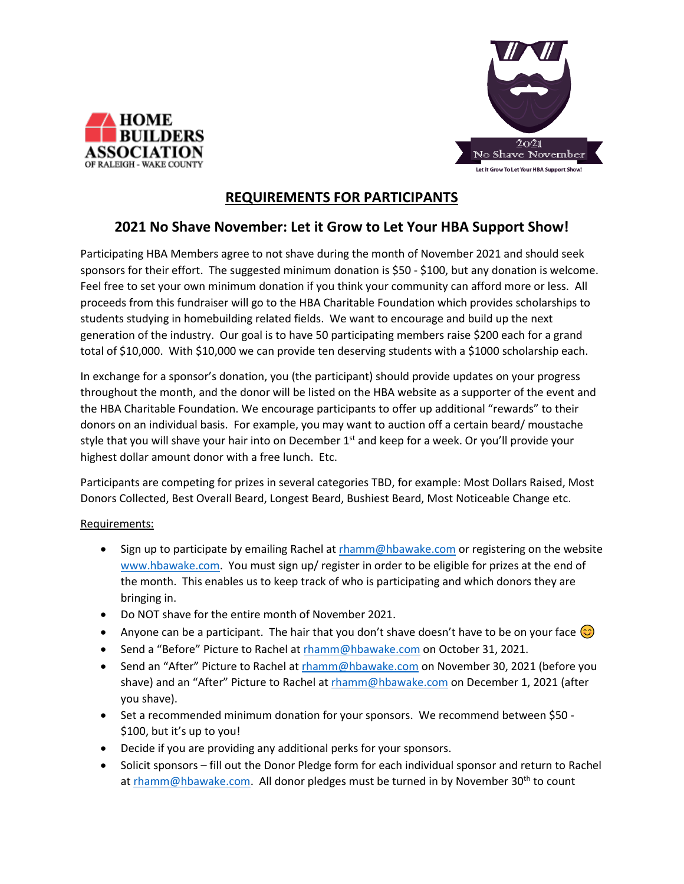



## **REQUIREMENTS FOR PARTICIPANTS**

## **2021 No Shave November: Let it Grow to Let Your HBA Support Show!**

Participating HBA Members agree to not shave during the month of November 2021 and should seek sponsors for their effort. The suggested minimum donation is \$50 - \$100, but any donation is welcome. Feel free to set your own minimum donation if you think your community can afford more or less. All proceeds from this fundraiser will go to the HBA Charitable Foundation which provides scholarships to students studying in homebuilding related fields. We want to encourage and build up the next generation of the industry. Our goal is to have 50 participating members raise \$200 each for a grand total of \$10,000. With \$10,000 we can provide ten deserving students with a \$1000 scholarship each.

In exchange for a sponsor's donation, you (the participant) should provide updates on your progress throughout the month, and the donor will be listed on the HBA website as a supporter of the event and the HBA Charitable Foundation. We encourage participants to offer up additional "rewards" to their donors on an individual basis. For example, you may want to auction off a certain beard/ moustache style that you will shave your hair into on December 1<sup>st</sup> and keep for a week. Or you'll provide your highest dollar amount donor with a free lunch. Etc.

Participants are competing for prizes in several categories TBD, for example: Most Dollars Raised, Most Donors Collected, Best Overall Beard, Longest Beard, Bushiest Beard, Most Noticeable Change etc.

## Requirements:

- Sign up to participate by emailing Rachel a[t rhamm@hbawake.com](mailto:rhamm@hbawake.com) or registering on the website [www.hbawake.com.](http://www.hbawake.com/) You must sign up/ register in order to be eligible for prizes at the end of the month. This enables us to keep track of who is participating and which donors they are bringing in.
- Do NOT shave for the entire month of November 2021.
- Anyone can be a participant. The hair that you don't shave doesn't have to be on your face  $\bigcirc$
- Send a "Before" Picture to Rachel a[t rhamm@hbawake.com](mailto:rhamm@hbawake.com) on October 31, 2021.
- Send an "After" Picture to Rachel at [rhamm@hbawake.com](mailto:rhamm@hbawake.com) on November 30, 2021 (before you shave) and an "After" Picture to Rachel a[t rhamm@hbawake.com](mailto:rhamm@hbawake.com) on December 1, 2021 (after you shave).
- Set a recommended minimum donation for your sponsors. We recommend between \$50 \$100, but it's up to you!
- Decide if you are providing any additional perks for your sponsors.
- Solicit sponsors fill out the Donor Pledge form for each individual sponsor and return to Rachel at [rhamm@hbawake.com.](mailto:rhamm@hbawake.com) All donor pledges must be turned in by November 30<sup>th</sup> to count